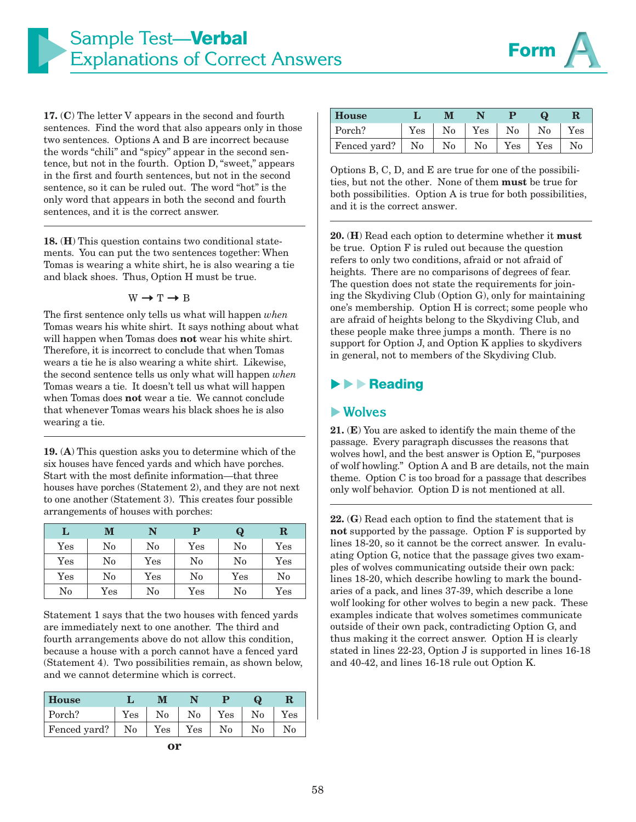



**17.** (**C**) The letter V appears in the second and fourth sentences. Find the word that also appears only in those two sentences. Options A and B are incorrect because the words "chili" and "spicy" appear in the second sentence, but not in the fourth. Option D, "sweet," appears in the first and fourth sentences, but not in the second sentence, so it can be ruled out. The word "hot" is the only word that appears in both the second and fourth sentences, and it is the correct answer.

**18.** (**H**) This question contains two conditional statements. You can put the two sentences together: When Tomas is wearing a white shirt, he is also wearing a tie and black shoes. Thus, Option H must be true.

$$
W \rightarrow T \rightarrow B
$$

The first sentence only tells us what will happen *when*  Tomas wears his white shirt. It says nothing about what will happen when Tomas does **not** wear his white shirt. Therefore, it is incorrect to conclude that when Tomas wears a tie he is also wearing a white shirt. Likewise, the second sentence tells us only what will happen *when*  Tomas wears a tie. It doesn't tell us what will happen when Tomas does **not** wear a tie. We cannot conclude that whenever Tomas wears his black shoes he is also wearing a tie.

**19.** (**A**) This question asks you to determine which of the six houses have fenced yards and which have porches. Start with the most definite information—that three houses have porches (Statement 2), and they are not next to one another (Statement 3). This creates four possible arrangements of houses with porches:

| L            | M            | N                    |              | $\bf Q$      | $\mathbf R$          |
|--------------|--------------|----------------------|--------------|--------------|----------------------|
| $_{\rm Yes}$ | No           | No                   | $_{\rm Yes}$ | No           | $\rm Yes$            |
| $_{\rm Yes}$ | No           | $\operatorname{Yes}$ | No           | No           | $\operatorname{Yes}$ |
| Yes          | No           | $\operatorname{Yes}$ | No           | $_{\rm Yes}$ | No                   |
| No           | $_{\rm Yes}$ | No                   | $_{\rm Yes}$ | No           | $_{\rm Yes}$         |

Statement 1 says that the two houses with fenced yards are immediately next to one another. The third and fourth arrangements above do not allow this condition, because a house with a porch cannot have a fenced yard (Statement 4). Two possibilities remain, as shown below, and we cannot determine which is correct.

| House        |                      |     |     |     |    |     |
|--------------|----------------------|-----|-----|-----|----|-----|
| Porch?       | $\operatorname{Yes}$ | No  | No  | Yes | No | Yes |
| Fenced yard? | No                   | Yes | Yes | No  | No | No  |

| House           |     | IV.            |                |     |          |     |
|-----------------|-----|----------------|----------------|-----|----------|-----|
| Porch?          | Yes | $\rm No$       | Yes            | No  | $\rm No$ | Yes |
| Fenced yard? No |     | N <sub>0</sub> | N <sub>0</sub> | Yes | Yes      | No  |

Options B, C, D, and E are true for one of the possibilities, but not the other. None of them **must** be true for both possibilities. Option A is true for both possibilities, and it is the correct answer.

**20.** (**H**) Read each option to determine whether it **must** be true. Option F is ruled out because the question refers to only two conditions, afraid or not afraid of heights. There are no comparisons of degrees of fear. The question does not state the requirements for joining the Skydiving Club (Option G), only for maintaining one's membership. Option H is correct; some people who are afraid of heights belong to the Skydiving Club, and these people make three jumps a month. There is no support for Option J, and Option K applies to skydivers in general, not to members of the Skydiving Club.

#### -**Reading**

#### -**Wolves**

**21.** (**E**) You are asked to identify the main theme of the passage. Every paragraph discusses the reasons that wolves howl, and the best answer is Option E, "purposes of wolf howling." Option A and B are details, not the main theme. Option C is too broad for a passage that describes only wolf behavior. Option D is not mentioned at all.

**22.** (**G**) Read each option to find the statement that is **not** supported by the passage. Option F is supported by lines 18-20, so it cannot be the correct answer. In evaluating Option G, notice that the passage gives two examples of wolves communicating outside their own pack: lines 18-20, which describe howling to mark the boundaries of a pack, and lines 37-39, which describe a lone wolf looking for other wolves to begin a new pack. These examples indicate that wolves sometimes communicate outside of their own pack, contradicting Option G, and thus making it the correct answer. Option H is clearly stated in lines 22-23, Option J is supported in lines 16-18 and 40-42, and lines 16-18 rule out Option K.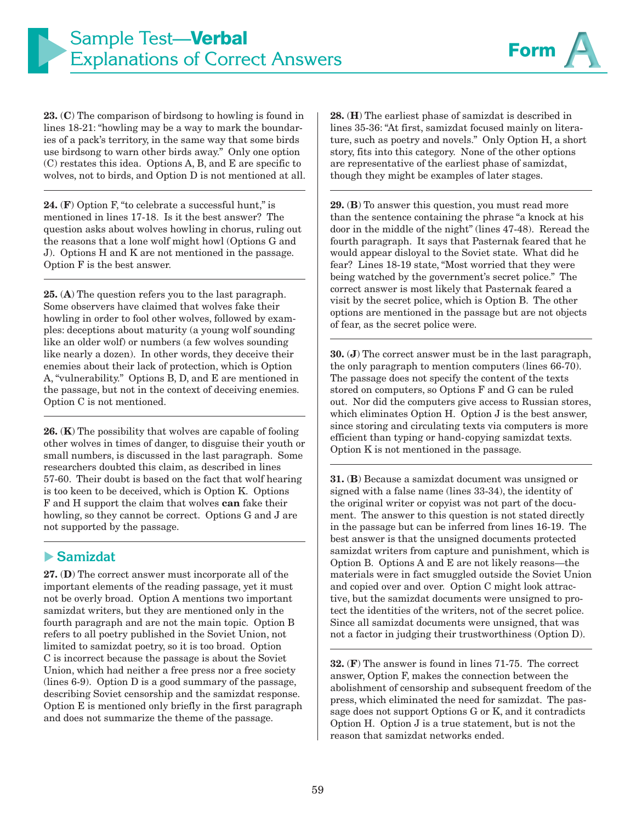

**23.** (**C**) The comparison of birdsong to howling is found in lines 18-21: "howling may be a way to mark the boundaries of a pack's territory, in the same way that some birds use birdsong to warn other birds away." Only one option (C) restates this idea. Options A, B, and E are specific to wolves, not to birds, and Option D is not mentioned at all.

**24.** (**F**) Option F, "to celebrate a successful hunt," is mentioned in lines 17-18. Is it the best answer? The question asks about wolves howling in chorus, ruling out the reasons that a lone wolf might howl (Options G and J). Options H and K are not mentioned in the passage. Option F is the best answer.

**25.** (**A**) The question refers you to the last paragraph. Some observers have claimed that wolves fake their howling in order to fool other wolves, followed by examples: deceptions about maturity (a young wolf sounding like an older wolf) or numbers (a few wolves sounding like nearly a dozen). In other words, they deceive their enemies about their lack of protection, which is Option A, "vulnerability." Options B, D, and E are mentioned in the passage, but not in the context of deceiving enemies. Option C is not mentioned.

**26.** (**K**) The possibility that wolves are capable of fooling other wolves in times of danger, to disguise their youth or small numbers, is discussed in the last paragraph. Some researchers doubted this claim, as described in lines 57-60. Their doubt is based on the fact that wolf hearing is too keen to be deceived, which is Option K. Options F and H support the claim that wolves **can** fake their howling, so they cannot be correct. Options G and J are not supported by the passage.

### - **Samizdat**

**27.** (**D**) The correct answer must incorporate all of the important elements of the reading passage, yet it must not be overly broad. Option A mentions two important samizdat writers, but they are mentioned only in the fourth paragraph and are not the main topic. Option B refers to all poetry published in the Soviet Union, not limited to samizdat poetry, so it is too broad. Option C is incorrect because the passage is about the Soviet Union, which had neither a free press nor a free society (lines 6-9). Option D is a good summary of the passage, describing Soviet censorship and the samizdat response. Option E is mentioned only briefly in the first paragraph and does not summarize the theme of the passage.

**28.** (**H**) The earliest phase of samizdat is described in lines 35-36: "At first, samizdat focused mainly on literature, such as poetry and novels." Only Option H, a short story, fits into this category. None of the other options are representative of the earliest phase of samizdat, though they might be examples of later stages.

**29.** (**B**) To answer this question, you must read more than the sentence containing the phrase "a knock at his door in the middle of the night" (lines 47-48). Reread the fourth paragraph. It says that Pasternak feared that he would appear disloyal to the Soviet state. What did he fear? Lines 18-19 state, "Most worried that they were being watched by the government's secret police." The correct answer is most likely that Pasternak feared a visit by the secret police, which is Option B. The other options are mentioned in the passage but are not objects of fear, as the secret police were.

**30.** (**J**) The correct answer must be in the last paragraph, the only paragraph to mention computers (lines 66-70). The passage does not specify the content of the texts stored on computers, so Options F and G can be ruled out. Nor did the computers give access to Russian stores, which eliminates Option H. Option J is the best answer, since storing and circulating texts via computers is more efficient than typing or hand-copying samizdat texts. Option K is not mentioned in the passage.

**31.** (**B**) Because a samizdat document was unsigned or signed with a false name (lines 33-34), the identity of the original writer or copyist was not part of the document. The answer to this question is not stated directly in the passage but can be inferred from lines 16-19. The best answer is that the unsigned documents protected samizdat writers from capture and punishment, which is Option B. Options A and E are not likely reasons—the materials were in fact smuggled outside the Soviet Union and copied over and over. Option C might look attractive, but the samizdat documents were unsigned to protect the identities of the writers, not of the secret police. Since all samizdat documents were unsigned, that was not a factor in judging their trustworthiness (Option D).

**32.** (**F**) The answer is found in lines 71-75. The correct answer, Option F, makes the connection between the abolishment of censorship and subsequent freedom of the press, which eliminated the need for samizdat. The passage does not support Options G or K, and it contradicts Option H. Option J is a true statement, but is not the reason that samizdat networks ended.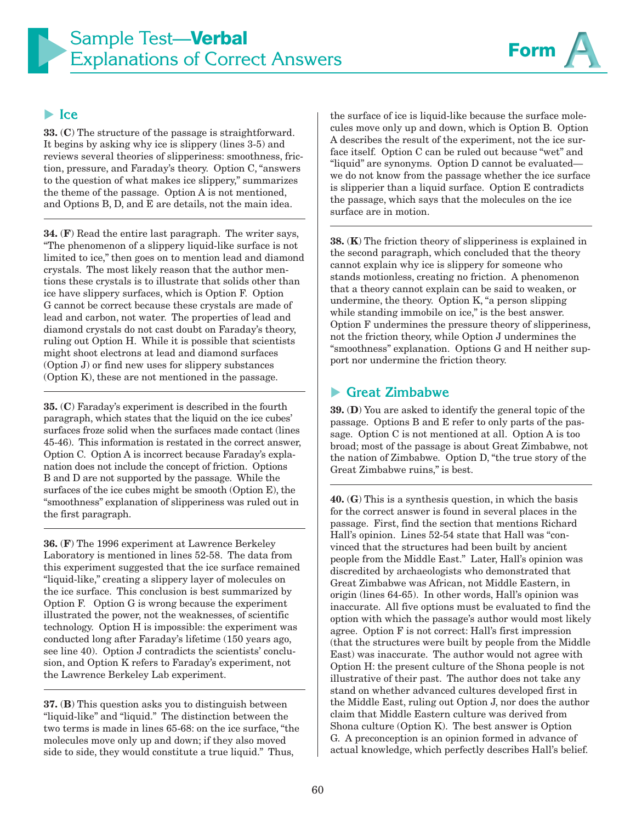

### - **Ice**

**33.** (**C**) The structure of the passage is straightforward. It begins by asking why ice is slippery (lines 3-5) and reviews several theories of slipperiness: smoothness, friction, pressure, and Faraday's theory. Option C, "answers to the question of what makes ice slippery," summarizes the theme of the passage. Option A is not mentioned, and Options B, D, and E are details, not the main idea.

**34.** (**F**) Read the entire last paragraph. The writer says, "The phenomenon of a slippery liquid-like surface is not limited to ice," then goes on to mention lead and diamond crystals. The most likely reason that the author mentions these crystals is to illustrate that solids other than ice have slippery surfaces, which is Option F. Option G cannot be correct because these crystals are made of lead and carbon, not water. The properties of lead and diamond crystals do not cast doubt on Faraday's theory, ruling out Option H. While it is possible that scientists might shoot electrons at lead and diamond surfaces (Option J) or find new uses for slippery substances (Option K), these are not mentioned in the passage.

**35.** (**C**) Faraday's experiment is described in the fourth paragraph, which states that the liquid on the ice cubes' surfaces froze solid when the surfaces made contact (lines 45-46). This information is restated in the correct answer, Option C. Option A is incorrect because Faraday's explanation does not include the concept of friction. Options B and D are not supported by the passage. While the surfaces of the ice cubes might be smooth (Option E), the "smoothness" explanation of slipperiness was ruled out in the first paragraph.

**36.** (**F**) The 1996 experiment at Lawrence Berkeley Laboratory is mentioned in lines 52-58. The data from this experiment suggested that the ice surface remained "liquid-like," creating a slippery layer of molecules on the ice surface. This conclusion is best summarized by Option F. Option G is wrong because the experiment illustrated the power, not the weaknesses, of scientific technology. Option H is impossible: the experiment was conducted long after Faraday's lifetime (150 years ago, see line 40). Option J contradicts the scientists' conclusion, and Option K refers to Faraday's experiment, not the Lawrence Berkeley Lab experiment.

**37.** (**B**) This question asks you to distinguish between "liquid-like" and "liquid." The distinction between the two terms is made in lines 65-68: on the ice surface, "the molecules move only up and down; if they also moved side to side, they would constitute a true liquid." Thus,

the surface of ice is liquid-like because the surface molecules move only up and down, which is Option B. Option A describes the result of the experiment, not the ice surface itself. Option C can be ruled out because "wet" and "liquid" are synonyms. Option D cannot be evaluated we do not know from the passage whether the ice surface is slipperier than a liquid surface. Option E contradicts the passage, which says that the molecules on the ice surface are in motion.

**38.** (**K**) The friction theory of slipperiness is explained in the second paragraph, which concluded that the theory cannot explain why ice is slippery for someone who stands motionless, creating no friction. A phenomenon that a theory cannot explain can be said to weaken, or undermine, the theory. Option K, "a person slipping while standing immobile on ice," is the best answer. Option F undermines the pressure theory of slipperiness, not the friction theory, while Option J undermines the "smoothness" explanation. Options G and H neither support nor undermine the friction theory.

#### $\blacktriangleright$ **Great Zimbabwe**

**39.** (**D**) You are asked to identify the general topic of the passage. Options B and E refer to only parts of the passage. Option C is not mentioned at all. Option A is too broad; most of the passage is about Great Zimbabwe, not the nation of Zimbabwe. Option D, "the true story of the Great Zimbabwe ruins," is best.

**40.** (**G**) This is a synthesis question, in which the basis for the correct answer is found in several places in the passage. First, find the section that mentions Richard Hall's opinion. Lines 52-54 state that Hall was "convinced that the structures had been built by ancient people from the Middle East." Later, Hall's opinion was discredited by archaeologists who demonstrated that Great Zimbabwe was African, not Middle Eastern, in origin (lines 64-65). In other words, Hall's opinion was inaccurate. All five options must be evaluated to find the option with which the passage's author would most likely agree. Option F is not correct: Hall's first impression (that the structures were built by people from the Middle East) was inaccurate. The author would not agree with Option H: the present culture of the Shona people is not illustrative of their past. The author does not take any stand on whether advanced cultures developed first in the Middle East, ruling out Option J, nor does the author claim that Middle Eastern culture was derived from Shona culture (Option K). The best answer is Option G. A preconception is an opinion formed in advance of actual knowledge, which perfectly describes Hall's belief.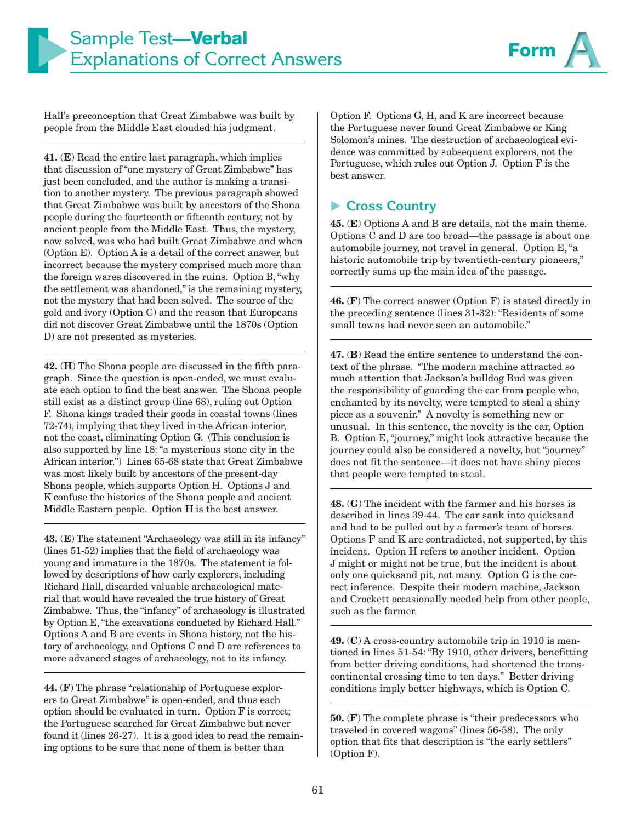

Hall's preconception that Great Zimbabwe was built by people from the Middle East clouded his judgment.

**41.** (**E**) Read the entire last paragraph, which implies that discussion of "one mystery of Great Zimbabwe" has just been concluded, and the author is making a transition to another mystery. The previous paragraph showed that Great Zimbabwe was built by ancestors of the Shona people during the fourteenth or fifteenth century, not by ancient people from the Middle East. Thus, the mystery, now solved, was who had built Great Zimbabwe and when (Option E). Option A is a detail of the correct answer, but incorrect because the mystery comprised much more than the foreign wares discovered in the ruins. Option B, "why the settlement was abandoned," is the remaining mystery, not the mystery that had been solved. The source of the gold and ivory (Option C) and the reason that Europeans did not discover Great Zimbabwe until the 1870s (Option D) are not presented as mysteries.

**42.** (**H**) The Shona people are discussed in the fifth paragraph. Since the question is open-ended, we must evaluate each option to find the best answer. The Shona people still exist as a distinct group (line 68), ruling out Option F. Shona kings traded their goods in coastal towns (lines 72-74), implying that they lived in the African interior, not the coast, eliminating Option G. (This conclusion is also supported by line 18: "a mysterious stone city in the African interior.") Lines 65-68 state that Great Zimbabwe was most likely built by ancestors of the present-day Shona people, which supports Option H. Options J and K confuse the histories of the Shona people and ancient Middle Eastern people. Option H is the best answer.

**43.** (**E**) The statement "Archaeology was still in its infancy" (lines 51-52) implies that the field of archaeology was young and immature in the 1870s. The statement is followed by descriptions of how early explorers, including Richard Hall, discarded valuable archaeological material that would have revealed the true history of Great Zimbabwe. Thus, the "infancy" of archaeology is illustrated by Option E, "the excavations conducted by Richard Hall." Options A and B are events in Shona history, not the history of archaeology, and Options C and D are references to more advanced stages of archaeology, not to its infancy.

**44.** (**F**) The phrase "relationship of Portuguese explorers to Great Zimbabwe" is open-ended, and thus each option should be evaluated in turn. Option F is correct; the Portuguese searched for Great Zimbabwe but never found it (lines 26-27). It is a good idea to read the remaining options to be sure that none of them is better than

Option F. Options G, H, and K are incorrect because the Portuguese never found Great Zimbabwe or King Solomon's mines. The destruction of archaeological evidence was committed by subsequent explorers, not the Portuguese, which rules out Option J. Option F is the best answer.

## ▶ Cross Country

**45.** (**E**) Options A and B are details, not the main theme. Options C and D are too broad—the passage is about one automobile journey, not travel in general. Option E, "a historic automobile trip by twentieth-century pioneers," correctly sums up the main idea of the passage.

**46.** (**F**) The correct answer (Option F) is stated directly in the preceding sentence (lines 31-32): "Residents of some small towns had never seen an automobile."

**47.** (**B**) Read the entire sentence to understand the context of the phrase. "The modern machine attracted so much attention that Jackson's bulldog Bud was given the responsibility of guarding the car from people who, enchanted by its novelty, were tempted to steal a shiny piece as a souvenir." A novelty is something new or unusual. In this sentence, the novelty is the car, Option B. Option E, "journey," might look attractive because the journey could also be considered a novelty, but "journey" does not fit the sentence—it does not have shiny pieces that people were tempted to steal.

**48.** (**G**) The incident with the farmer and his horses is described in lines 39-44. The car sank into quicksand and had to be pulled out by a farmer's team of horses. Options F and K are contradicted, not supported, by this incident. Option H refers to another incident. Option J might or might not be true, but the incident is about only one quicksand pit, not many. Option G is the correct inference. Despite their modern machine, Jackson and Crockett occasionally needed help from other people, such as the farmer.

**49.** (**C**) A cross-country automobile trip in 1910 is mentioned in lines 51-54: "By 1910, other drivers, benefitting from better driving conditions, had shortened the transcontinental crossing time to ten days." Better driving conditions imply better highways, which is Option C.

**50.** (**F**) The complete phrase is "their predecessors who traveled in covered wagons" (lines 56-58). The only option that fits that description is "the early settlers" (Option F).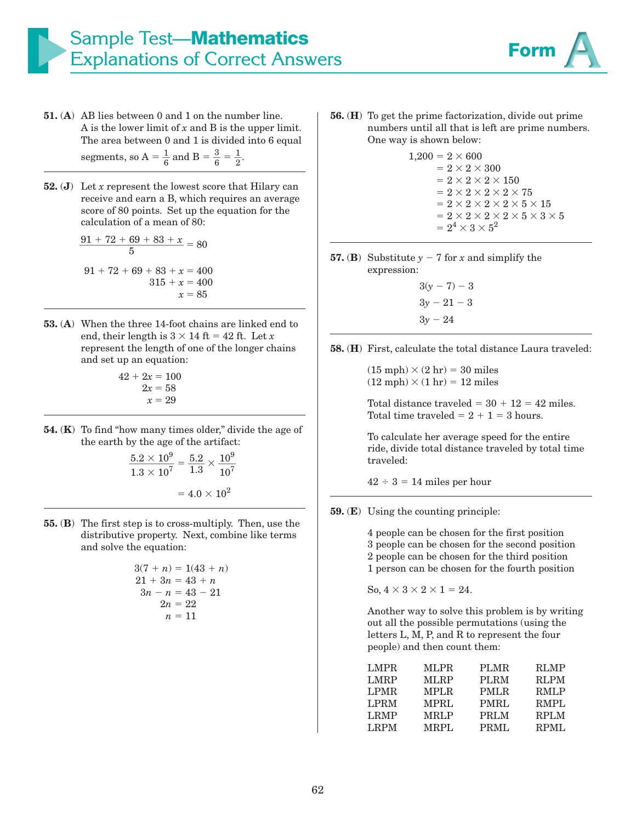

- **51.** (**A**) AB lies between 0 and 1 on the number line. A is the lower limit of *x* and B is the upper limit. The area between 0 and 1 is divided into 6 equal segments, so  $A = \frac{1}{6}$  and  $B = \frac{3}{6} = \frac{1}{2}$ .
- **52.** (**J**) Let *x* represent the lowest score that Hilary can receive and earn a B, which requires an average score of 80 points. Set up the equation for the calculation of a mean of 80:

$$
\frac{91 + 72 + 69 + 83 + x}{5} = 80
$$
  
91 + 72 + 69 + 83 + x = 400  
315 + x = 400  
x = 85

- **53.** (**A**) When the three 14-foot chains are linked end to end, their length is  $3 \times 14$  ft = 42 ft. Let *x* represent the length of one of the longer chains and set up an equation:
- $42 + 2x = 100$  $2x = 58$  $x = 29$
- **54.** (**K**) To find "how many times older," divide the age of the earth by the age of the artifact:

$$
\frac{5.2 \times 10^9}{1.3 \times 10^7} = \frac{5.2}{1.3} \times \frac{10^9}{10^7}
$$

$$
= 4.0 \times 10^2
$$

**55.** (**B**) The first step is to cross-multiply. Then, use the distributive property. Next, combine like terms and solve the equation:

$$
3(7 + n) = 1(43 + n)
$$
  
\n
$$
21 + 3n = 43 + n
$$
  
\n
$$
3n - n = 43 - 21
$$
  
\n
$$
2n = 22
$$
  
\n
$$
n = 11
$$

- **56.** (**H**) To get the prime factorization, divide out prime numbers until all that is left are prime numbers. One way is shown below:
	- $1{,}200=2\times 600$  $= 2 \times 2 \times 300$  $= 2 \times 2 \times 2 \times 150$ - 1990 - 1990 - 1990 - 1990 - 1990 - 1990 - 1990 - 1990 - 1990 - 1990 - 1990 - 1990 - 1990 - 1990 - 1990 - 199  $= 2 \times 2 \times 2 \times 2 \times 75$  $= 2\times 2\times 2\times 2\times 5\times 15$  $= 2 \times 2 \times 2 \times 2 \times 5 \times 3 \times 5$ - 1990 - 1990 - 1990 - 1990 - 1990 - 1990 - 1990 - 1990 - 1990 - 1990 - 1990 - 1990 - 1990 - 1990 - 1990 - 199  $2^4 \times 3 \times 5^2$
- **57.** (**B**) Substitute  $y 7$  for *x* and simplify the expression:
	- $3(y 7) 3$  $3y - 21 - 3$  $3y - 24$

**58.** (**H**) First, calculate the total distance Laura traveled:

 $(15 \text{ mph}) \times (2 \text{ hr}) = 30 \text{ miles}$  $(12 \text{ mph}) \times (1 \text{ hr}) = 12 \text{ miles}$ 

Total distance traveled  $= 30 + 12 = 42$  miles. Total time traveled  $= 2 + 1 = 3$  hours.

To calculate her average speed for the entire ride, divide total distance traveled by total time traveled:

 $42 \div 3 = 14$  miles per hour

**59.** (**E**) Using the counting principle:

4 people can be chosen for the first position 3 people can be chosen for the second position 2 people can be chosen for the third position 1 person can be chosen for the fourth position

So,  $4 \times 3 \times 2 \times 1 = 24$ .

Another way to solve this problem is by writing out all the possible permutations (using the letters L, M, P, and R to represent the four people) and then count them:

| <b>LMPR</b> | <b>MLPR</b> | <b>PLMR</b> | <b>RLMP</b> |
|-------------|-------------|-------------|-------------|
| <b>LMRP</b> | <b>MLRP</b> | <b>PLRM</b> | <b>RLPM</b> |
| <b>LPMR</b> | <b>MPLR</b> | PMLR.       | RMLP        |
| <b>LPRM</b> | <b>MPRL</b> | PMRL        | RMPL        |
| <b>LRMP</b> | <b>MRLP</b> | <b>PRLM</b> | <b>RPLM</b> |
| <b>LRPM</b> | MRPL        | PRML        | RPML        |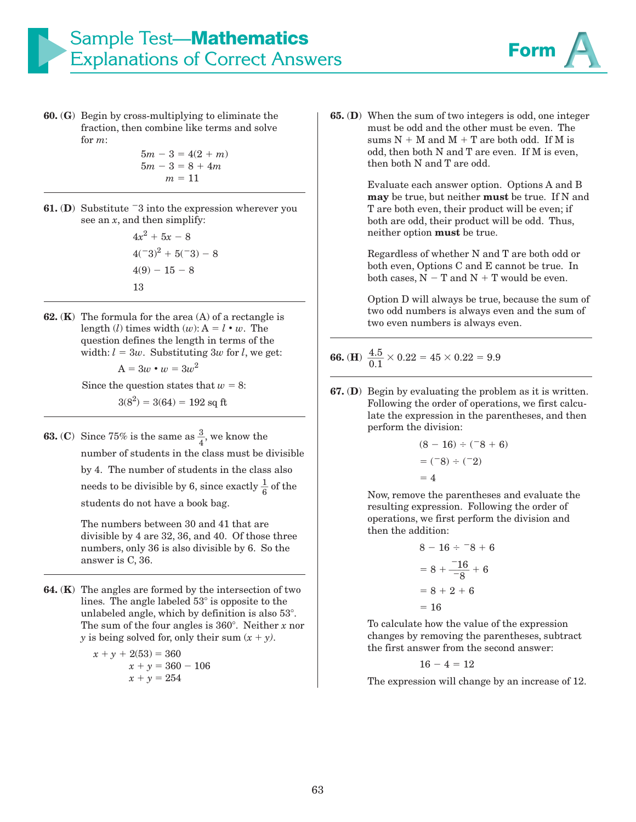

**60.** (**G**) Begin by cross-multiplying to eliminate the fraction, then combine like terms and solve for *m*:

$$
5m-3=4(2+m)
$$
  

$$
5m-3=8+4m
$$
  

$$
m=11
$$

**61.** (D) Substitute  $-3$  into the expression wherever you see an *x*, and then simplify:

$$
4x2 + 5x - 8
$$
  

$$
4(-3)2 + 5(-3) - 8
$$
  

$$
4(9) - 15 - 8
$$
  

$$
13
$$

**62.** (**K**) The formula for the area (A) of a rectangle is length (*l*) times width (*w*):  $A = l \cdot w$ . The question defines the length in terms of the width:  $l = 3w$ . Substituting 3*w* for *l*, we get:

$$
A = 3w \bullet w = 3w^2
$$

Since the question states that  $w = 8$ :

$$
3(8^2) = 3(64) = 192
$$
 sq ft

**63.** (**C**) Since 75% is the same as  $\frac{3}{4}$ , we know the number of students in the class must be divisible by 4. The number of students in the class also needs to be divisible by 6, since exactly  $\frac{1}{6}$  of the students do not have a book bag.

> The numbers between 30 and 41 that are divisible by 4 are 32, 36, and 40. Of those three numbers, only 36 is also divisible by 6. So the answer is C, 36.

**64.** (**K**) The angles are formed by the intersection of two lines. The angle labeled  $53^\circ$  is opposite to the unlabeled angle, which by definition is also  $53^\circ$ . The sum of the four angles is  $360^\circ$ . Neither *x* nor *y* is being solved for, only their sum  $(x + y)$ .

$$
x + y + 2(53) = 360
$$
  

$$
x + y = 360 - 106
$$
  

$$
x + y = 254
$$

**65.** (**D**) When the sum of two integers is odd, one integer must be odd and the other must be even. The sums  $N + M$  and  $M + T$  are both odd. If M is odd, then both N and T are even. If M is even, then both N and T are odd.

> Evaluate each answer option. Options A and B **may** be true, but neither **must** be true. If N and T are both even, their product will be even; if both are odd, their product will be odd. Thus, neither option **must** be true.

Regardless of whether N and T are both odd or both even, Options C and E cannot be true. In both cases,  $N - T$  and  $N + T$  would be even.

Option D will always be true, because the sum of two odd numbers is always even and the sum of two even numbers is always even.

# **66.** (**H**)  $\frac{4.5}{0.1} \times 0.22 = 45 \times 0.22 = 9.9$

**67.** (**D**) Begin by evaluating the problem as it is written. Following the order of operations, we first calculate the expression in the parentheses, and then perform the division:

$$
(8-16) \div (-8+6)
$$
  
= (-8) \div (-2)  
= 4

Now, remove the parentheses and evaluate the resulting expression. Following the order of operations, we first perform the division and then the addition:

$$
8 - 16 \div 8 + 6
$$
  
= 8 +  $\frac{-16}{-8}$  + 6  
= 8 + 2 + 6  
= 16

To calculate how the value of the expression changes by removing the parentheses, subtract the first answer from the second answer:

$$
16-4=12
$$

The expression will change by an increase of 12.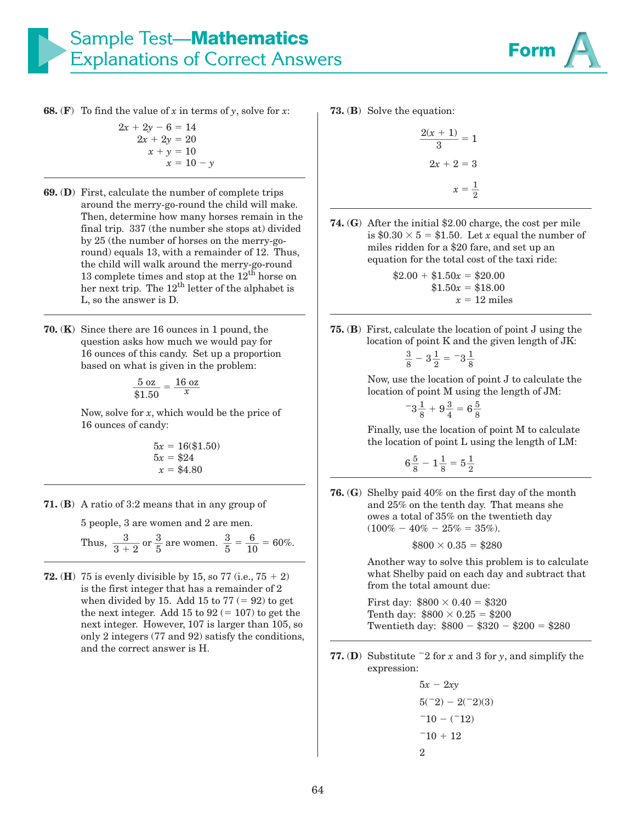

**68.** (**F**) To find the value of *x* in terms of *y*, solve for *x*:<br> $2x + 2y - 6 = 14$ 

$$
2x + 2y - 6 = 14 \n2x + 2y = 20 \nx + y = 10 \nx = 10 - y
$$

- **69.** (**D**) First, calculate the number of complete trips around the merry-go-round the child will make. Then, determine how many horses remain in the final trip. 337 (the number she stops at) divided by 25 (the number of horses on the merry-goround) equals 13, with a remainder of 12. Thus, the child will walk around the merry-go-round 13 complete times and stop at the  $12<sup>th</sup>$  horse on her next trip. The  $12<sup>th</sup>$  letter of the alphabet is L, so the answer is D.
- **70.** (**K**) Since there are 16 ounces in 1 pound, the question asks how much we would pay for 16 ounces of this candy. Set up a proportion based on what is given in the problem:

$$
\frac{5 \text{ oz}}{\$1.50} = \frac{16 \text{ oz}}{x}
$$

Now, solve for *x*, which would be the price of 16 ounces of candy:

$$
5x = 16(\$1.50)
$$
  

$$
5x = \$24
$$
  

$$
x = \$4.80
$$

**71.** (**B**) A ratio of 3:2 means that in any group of

5 people, 3 are women and 2 are men.

Thus,  $\frac{3}{3+2}$  or  $\frac{3}{5}$  $\frac{3}{5}$  are women.  $\frac{3}{5}$  $\frac{3}{5} = \frac{6}{10} = 60\%.$ 

**72.** (**H**) 75 is evenly divisible by 15, so 77 (i.e.,  $75 + 2$ ) is the first integer that has a remainder of 2 when divided by 15. Add 15 to  $77 (= 92)$  to get the next integer. Add 15 to  $92 (= 107)$  to get the next integer. However, 107 is larger than 105, so only 2 integers (77 and 92) satisfy the conditions, and the correct answer is H.

**73.** (**B**) Solve the equation:

$$
\frac{2(x+1)}{3} = 1
$$

$$
2x + 2 = 3
$$

$$
x = \frac{1}{2}
$$

**74.** (**G**) After the initial \$2.00 charge, the cost per mile is  $$0.30 \times 5 = $1.50$ . Let *x* equal the number of miles ridden for a \$20 fare, and set up an equation for the total cost of the taxi ride:

$$
$2.00 + $1.50x = $20.00
$$
  
 $$1.50x = $18.00$   
 $x = 12$  miles

**75.** (**B**) First, calculate the location of point J using the location of point K and the given length of JK:

$$
\frac{3}{8} - 3\frac{1}{2} = -3\frac{1}{8}
$$

 Now, use the location of point J to calculate the location of point M using the length of JM:

$$
-3\frac{1}{8}+9\frac{3}{4}=6\frac{5}{8}
$$

 Finally, use the location of point M to calculate the location of point L using the length of LM:

$$
6\frac{5}{8}-1\frac{1}{8}=5\frac{1}{2}
$$

**76.** (**G**) Shelby paid 40% on the first day of the month and 25% on the tenth day. That means she owes a total of 35% on the twentieth day  $(100\% - 40\% - 25\% = 35\%).$ 

$$
$800 \times 0.35 = $280
$$

Another way to solve this problem is to calculate what Shelby paid on each day and subtract that from the total amount due:

First day:  $\$800 \times 0.40 = \$320$ Tenth day:  $$800 \times 0.25 = $200$ Twentieth day: \$800 – \$320 – \$200 = \$280

**77.** (**D**) Substitute  $-2$  for *x* and 3 for *y*, and simplify the expression:

> $5x - 2xy$  $5(^{-}2) - 2(^{-}2)(3)$  $-10 - (-12)$  $-10 + 12$ 2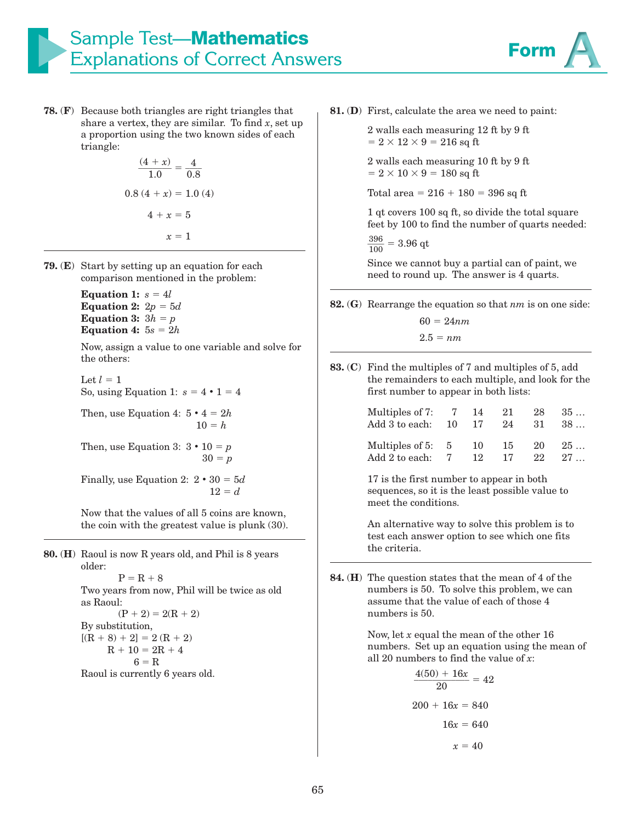

**78.** (**F**) Because both triangles are right triangles that share a vertex, they are similar. To find  $x$ , set up a proportion using the two known sides of each triangle:

$$
\frac{(4+x)}{1.0} = \frac{4}{0.8}
$$
  
0.8 (4 + x) = 1.0 (4)  

$$
4 + x = 5
$$

$$
x = 1
$$

- **79.** (**E**) Start by setting up an equation for each comparison mentioned in the problem:
	- Equation 1:  $s = 4l$ <br>Equation 2:  $2n = 4l$ Equation 2:  $2p = 5d$ <br>Equation 3:  $3b = p$ Equation 3:  $3h = p$ <br>Equation 4:  $5s = 2p$ **Equation 4:**  $5s = 2h$

Now, assign a value to one variable and solve for the others:

Let  $l = 1$ So, using Equation 1:  $s = 4 \cdot 1 = 4$ 

Then, use Equation 4:  $5 \cdot 4 = 2h$  $10 = h$ 

Then, use Equation 3:  $3 \cdot 10 = p$  $30 = p$ 

Finally, use Equation 2:  $2 \cdot 30 = 5d$  $12 = d$ 

Now that the values of all 5 coins are known, the coin with the greatest value is plunk (30).

**80.** (**H**) Raoul is now R years old, and Phil is 8 years

older:  $P = R + 8$ Two years from now, Phil will be twice as old as Raoul:  $(P + 2) = 2(R + 2)$ By substitution,  $[(R + 8) + 2] = 2(R + 2)$  $R + 10 = 2R + 4$  $6 = R$ 

Raoul is currently 6 years old.

**81.** (**D**) First, calculate the area we need to paint:

2 walls each measuring 12 ft by 9 ft  $= 2 \times 12 \times 9 = 216$  sq ft

2 walls each measuring 10 ft by 9 ft  $= 2 \times 10 \times 9 = 180$  sq ft

Total area =  $216 + 180 = 396$  sq ft

1 qt covers 100 sq ft, so divide the total square feet by 100 to find the number of quarts needed:

 $\frac{396}{100} = 3.96$  qt

Since we cannot buy a partial can of paint, we need to round up. The answer is 4 quarts.

**82.** (**G**) Rearrange the equation so that *nm* is on one side:

 $60 = 24nm$  $2.5 = nm$ 

**83.** (**C**) Find the multiples of 7 and multiples of 5, add the remainders to each multiple, and look for the first number to appear in both lists:

| Multiples of 7: $7 \quad 14$<br>Add 3 to each: $10 \t 17$ |    | 21<br>24 | 28<br>-31 | 35<br>38 |
|-----------------------------------------------------------|----|----------|-----------|----------|
| Multiples of $5:5$                                        | 10 | 15       | 20        | 25       |
| Add 2 to each: 7                                          | 12 | 17       | 22        | 27       |

17 is the first number to appear in both sequences, so it is the least possible value to meet the conditions.

An alternative way to solve this problem is to test each answer option to see which one fits the criteria.

**84.** (**H**) The question states that the mean of 4 of the numbers is 50. To solve this problem, we can assume that the value of each of those 4 numbers is 50.

> Now, let *x* equal the mean of the other 16 numbers. Set up an equation using the mean of all 20 numbers to find the value of *x*:

$$
\frac{4(50) + 16x}{20} = 42
$$
  
200 + 16x = 840  
16x = 640  

$$
x = 40
$$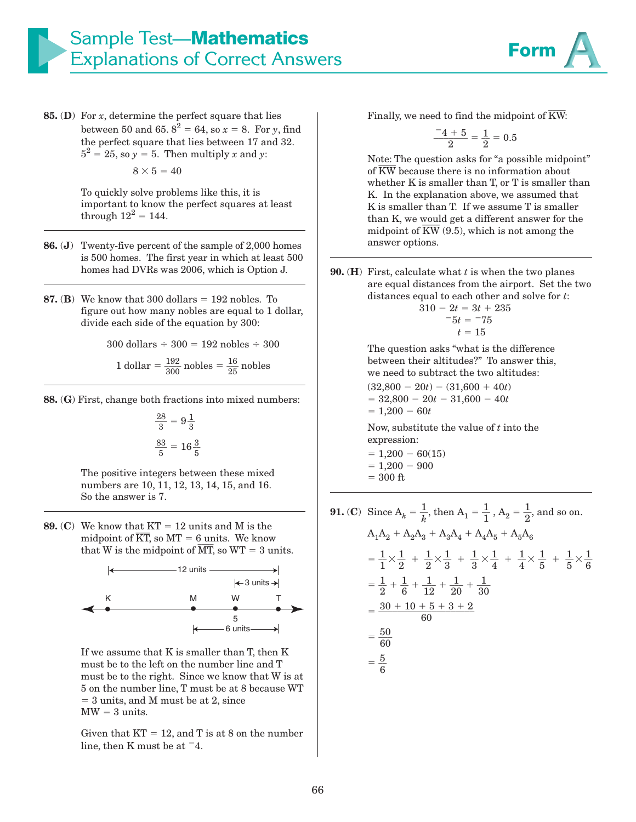

**85.** (**D**) For *x*, determine the perfect square that lies between 50 and 65.  $8^2 = 64$ , so  $x = 8$ . For *y*, find the perfect square that lies between 17 and 32.  $5^2 = 25$ , so  $y = 5$ . Then multiply *x* and *y*:  $8\times5=40$ 

> To quickly solve problems like this, it is important to know the perfect squares at least through  $12^2 = 144$ .

- **86.** (**J**) Twenty-five percent of the sample of 2,000 homes is 500 homes. The first year in which at least 500 homes had DVRs was 2006, which is Option J.
- **87.** (**B**) We know that 300 dollars  $= 192$  nobles. To figure out how many pobles are equal to 1 d figure out how many nobles are equal to 1 dollar, divide each side of the equation by 300:

 $300$  dollars  $\div 300 = 192$  nobles  $\div 300$ 

1 dollar = 
$$
\frac{192}{300}
$$
 nobles =  $\frac{16}{25}$  nobles

**88.** (**G**) First, change both fractions into mixed numbers:

$$
\frac{28}{3} = 9\frac{1}{3}
$$

$$
\frac{83}{5} = 16\frac{3}{5}
$$

The positive integers between these mixed numbers are 10, 11, 12, 13, 14, 15, and 16. So the answer is 7.

**89.** (**C**) We know that  $KT = 12$  units and M is the midness of  $\overline{KT}$  so  $MT = 6$  units We know We know that  $KT = 12$  units and M is the midpoint of  $\overline{KT}$ , so  $MT = 6$  units. We know midpoint of K1, so  $M1 = 6$  dints. We know<br>that W is the midpoint of  $\overline{MT}$ , so WT = 3 units.



If we assume that K is smaller than T, then K must be to the left on the number line and T must be to the right. Since we know that W is at 5 on the number line, T must be at 8 because WT - 3 units, and M must be at 2, since  $MW = 3 units.$ 

Given that  $KT = 12$ , and T is at 8 on the number line, then K must be at  $-4$ .

Finally, we need to find the midpoint of  $\overline{\text{KW}}$ :

$$
\frac{-4+5}{2} = \frac{1}{2} = 0.5
$$

Note: The question asks for "a possible midpoint" Note: The question asks for "a possible midpo<br>of  $\overline{\rm KW}$  because there is no information about whether K is smaller than T, or T is smaller than K. In the explanation above, we assumed that K is smaller than T. If we assume T is smaller than K, we would get a different answer for the than K, we would get a different answer for the midpoint of  $\overline{\rm KW}$  (9.5), which is not among the answer options.

**90.** (**H**) First, calculate what *t* is when the two planes are equal distances from the airport. Set the two distances equal to each other and solve for *t*:

$$
310 - 2t = 3t + 235
$$
  

$$
-5t = -75
$$
  

$$
t = 15
$$

The question asks "what is the difference between their altitudes?" To answer this, we need to subtract the two altitudes:

 $(32,800 - 20t) - (31,600 + 40t)$  $=$  32,800  $-$  20*t*  $-$  31,600  $-$  40*t*  $= 1,200 - 60t$ 

Now, substitute the value of *t* into the expression:

- $= 1,200 60(15)$  $= 1,200 - 900$
- $= 300$  ft
- **91.** (**C**) Since  $A_k = \frac{1}{k}$  $\frac{1}{k}$ , then  $A_1 = \frac{1}{1}$  $\frac{1}{1}$ , A<sub>2</sub> =  $\frac{1}{2}$  $\frac{1}{2}$ , and so on.  $A_1A_2 + A_2A_3 + A_3A_4 + A_4A_5 + A_5A_6$  $=\frac{1}{1}$  $\frac{1}{1} \times \frac{1}{2}$  $\frac{1}{2}$  +  $\frac{1}{2}$  $\frac{1}{2} \times \frac{1}{3}$  $\frac{1}{3}$  +  $\frac{1}{3}$  $\frac{1}{3} \times \frac{1}{4}$  $\frac{1}{4} + \frac{1}{4} \times \frac{1}{5}$  $\frac{1}{5}$  +  $\frac{1}{5} \times \frac{1}{6}$  $\frac{1}{6}$  $=\frac{1}{2}$  $\frac{1}{2} + \frac{1}{6}$  $\frac{1}{6}$  +  $\frac{1}{12}$  +  $\frac{1}{20}$  +  $\frac{1}{30}$  $=\frac{30+10+5+3+2}{60}$  $=\frac{50}{60}$  $=\frac{5}{c}$  $\frac{5}{6}$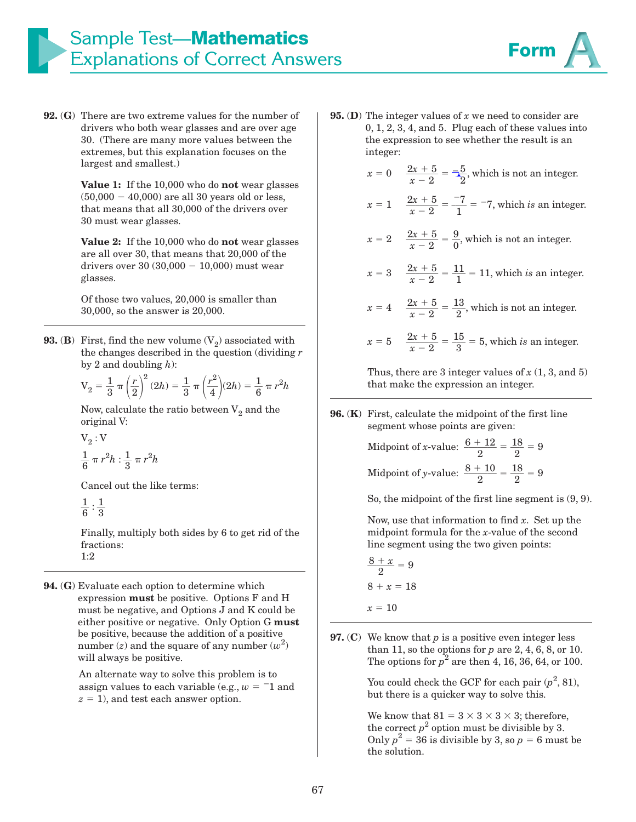

**92.** (**G**) There are two extreme values for the number of drivers who both wear glasses and are over age 30. (There are many more values between the extremes, but this explanation focuses on the largest and smallest.)

> **Value 1:** If the 10,000 who do **not** wear glasses  $(50,000 - 40,000)$  are all 30 years old or less, that means that all 30,000 of the drivers over 30 must wear glasses.

> **Value 2:** If the 10,000 who do **not** wear glasses are all over 30, that means that 20,000 of the drivers over  $30 (30,000 - 10,000)$  must wear glasses.

Of those two values, 20,000 is smaller than 30,000, so the answer is 20,000.

**93.** (**B**) First, find the new volume  $(V_2)$  associated with the changes described in the question (dividing *r* by 2 and doubling *h*):

$$
V_2 = \frac{1}{3} \pi \left(\frac{r}{2}\right)^2 (2h) = \frac{1}{3} \pi \left(\frac{r^2}{4}\right)(2h) = \frac{1}{6} \pi r^2 h
$$

Now, calculate the ratio between  $V_2$  and the original V:

$$
V_2: V
$$
  

$$
\frac{1}{6} \pi r^2 h : \frac{1}{3} \pi r^2 h
$$

Cancel out the like terms:

$$
\frac{1}{6}:\frac{1}{3}
$$

Finally, multiply both sides by 6 to get rid of the fractions: 1:2

**94.** (**G**) Evaluate each option to determine which expression **must** be positive. Options F and H must be negative, and Options J and K could be either positive or negative. Only Option G **must** be positive, because the addition of a positive number  $(z)$  and the square of any number  $(w^2)$ will always be positive.

> An alternate way to solve this problem is to assign values to each variable (e.g.,  $w = -1$  and  $z = 1$ ), and test each answer option.

**95.** (**D**) The integer values of *x* we need to consider are 0, 1, 2, 3, 4, and 5. Plug each of these values into the expression to see whether the result is an integer:

$$
x = 0 \quad \frac{2x+5}{x-2} = \frac{-5}{2}
$$
, which is not an integer.

$$
x = 1
$$
  $\frac{2x + 5}{x - 2} = \frac{-7}{1} = -7$ , which is an integer.

 $x = 2$   $\frac{2x + 5}{x - 2} = \frac{9}{0}$  $\frac{5}{0}$ , which is not an integer.

$$
= 3 \quad \frac{2x + 5}{x - 2} = \frac{11}{1} = 11, \text{ which } is \text{ an integer.}
$$

$$
x = 4 \quad \frac{2x+5}{x-2} = \frac{13}{2}
$$
, which is not an integer.

$$
x = 5
$$
  $\frac{2x + 5}{x - 2} = \frac{15}{3} = 5$ , which *is* an integer.

Thus, there are 3 integer values of  $x(1, 3, 4)$ that make the expression an integer.

**96.** (**K**) First, calculate the midpoint of the first line segment whose points are given:

> Midpoint of *x*-value:  $\frac{6 + 12}{8}$  $\frac{+12}{2} = \frac{18}{2}$  $\frac{18}{2}$  = 9 Midpoint of *y*-value:  $\frac{8+10}{8}$  $\frac{+10}{2} = \frac{18}{2}$  $\frac{18}{2} = 9$

So, the midpoint of the first line segment is (9, 9).

Now, use that information to find *x*. Set up the midpoint formula for the *x*-value of the second line segment using the two given points:

 $rac{8 + x}{3}$  $\frac{1}{2}$  = 9  $8 + x = 18$  $x = 10$ 

*x* -

**97.** (**C**) We know that *p* is a positive even integer less than 11, so the options for *p* are 2, 4, 6, 8, or 10. The options for  $p^2$  are then 4, 16, 36, 64, or 100.

> You could check the GCF for each pair  $(p^2, 81)$ , but there is a quicker way to solve this.

We know that  $81 = 3 \times 3 \times 3 \times 3$ ; therefore, the correct  $p^2$  option must be divisible by 3. Only  $p^2 = 36$  is divisible by 3, so  $p = 6$  must be the solution.